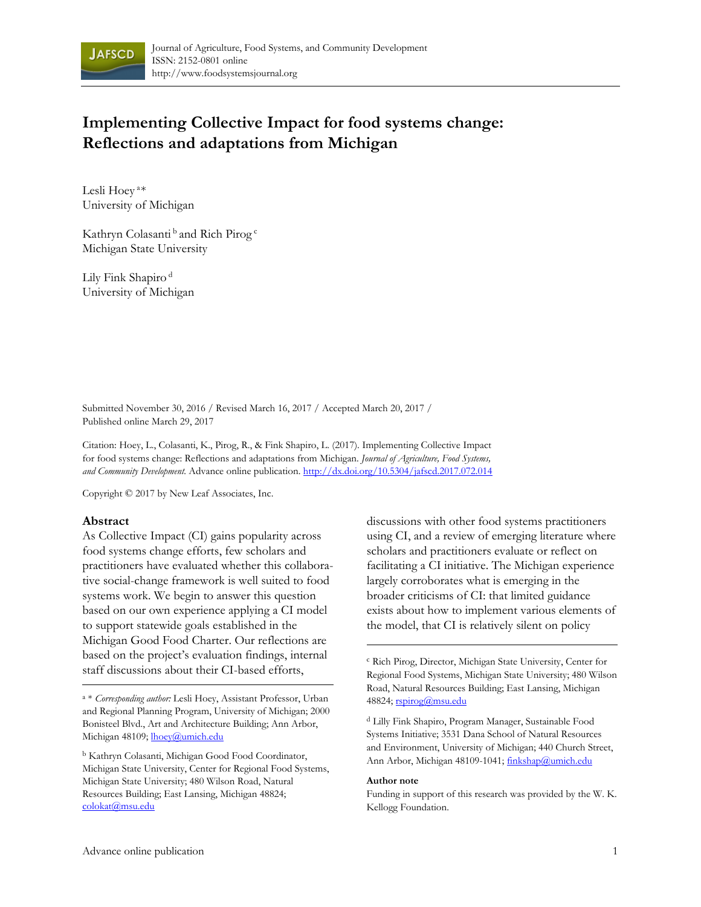

# **Implementing Collective Impact for food systems change: Reflections and adaptations from Michigan**

Lesli Hoey<sup>a\*</sup> University of Michigan

Kathryn Colasanti<sup>b</sup> and Rich Pirog<sup>c</sup> Michigan State University

Lily Fink Shapiro<sup>d</sup> University of Michigan

Submitted November 30, 2016 / Revised March 16, 2017 / Accepted March 20, 2017 / Published online March 29, 2017

Citation: Hoey, L., Colasanti, K., Pirog, R., & Fink Shapiro, L. (2017). Implementing Collective Impact for food systems change: Reflections and adaptations from Michigan. *Journal of Agriculture, Food Systems, and Community Development.* Advance online publication. http://dx.doi.org/10.5304/jafscd.2017.072.014

Copyright © 2017 by New Leaf Associates, Inc.

#### **Abstract**

As Collective Impact (CI) gains popularity across food systems change efforts, few scholars and practitioners have evaluated whether this collaborative social-change framework is well suited to food systems work. We begin to answer this question based on our own experience applying a CI model to support statewide goals established in the Michigan Good Food Charter. Our reflections are based on the project's evaluation findings, internal staff discussions about their CI-based efforts,

a \* *Corresponding author:* Lesli Hoey, Assistant Professor, Urban and Regional Planning Program, University of Michigan; 2000 Bonisteel Blvd., Art and Architecture Building; Ann Arbor, Michigan 48109; *lhoev@umich.edu* 

b Kathryn Colasanti, Michigan Good Food Coordinator, Michigan State University, Center for Regional Food Systems, Michigan State University; 480 Wilson Road, Natural Resources Building; East Lansing, Michigan 48824; colokat@msu.edu

discussions with other food systems practitioners using CI, and a review of emerging literature where scholars and practitioners evaluate or reflect on facilitating a CI initiative. The Michigan experience largely corroborates what is emerging in the broader criticisms of CI: that limited guidance exists about how to implement various elements of the model, that CI is relatively silent on policy

d Lilly Fink Shapiro, Program Manager, Sustainable Food Systems Initiative; 3531 Dana School of Natural Resources and Environment, University of Michigan; 440 Church Street, Ann Arbor, Michigan 48109-1041; finkshap@umich.edu

#### **Author note**

Funding in support of this research was provided by the W. K. Kellogg Foundation.

<sup>c</sup> Rich Pirog, Director, Michigan State University, Center for Regional Food Systems, Michigan State University; 480 Wilson Road, Natural Resources Building; East Lansing, Michigan 48824; rspirog@msu.edu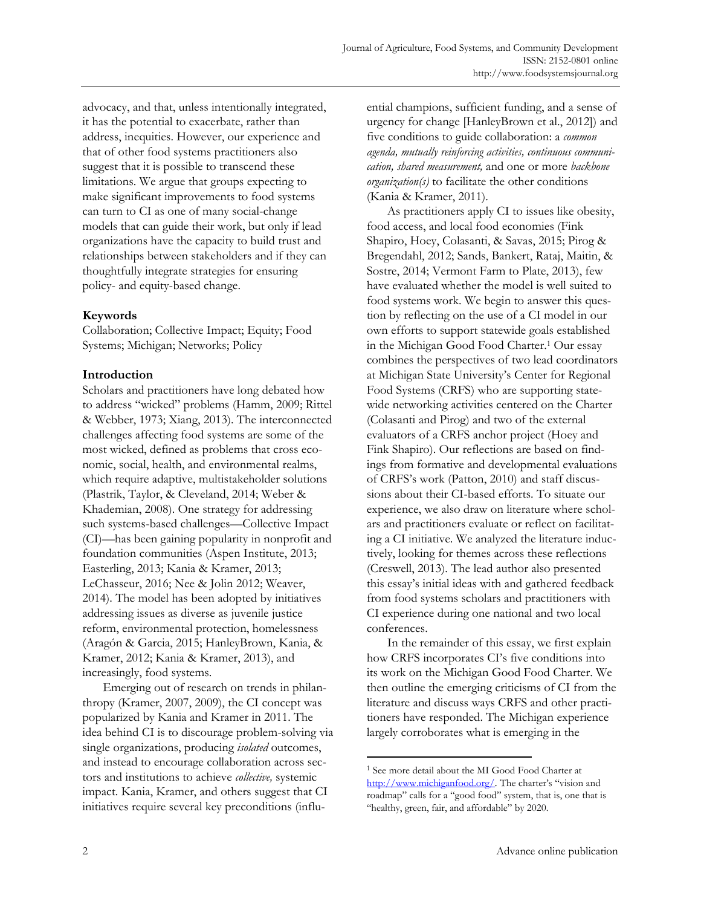advocacy, and that, unless intentionally integrated, it has the potential to exacerbate, rather than address, inequities. However, our experience and that of other food systems practitioners also suggest that it is possible to transcend these limitations. We argue that groups expecting to make significant improvements to food systems can turn to CI as one of many social-change models that can guide their work, but only if lead organizations have the capacity to build trust and relationships between stakeholders and if they can thoughtfully integrate strategies for ensuring policy- and equity-based change.

## **Keywords**

Collaboration; Collective Impact; Equity; Food Systems; Michigan; Networks; Policy

# **Introduction**

Scholars and practitioners have long debated how to address "wicked" problems (Hamm, 2009; Rittel & Webber, 1973; Xiang, 2013). The interconnected challenges affecting food systems are some of the most wicked, defined as problems that cross economic, social, health, and environmental realms, which require adaptive, multistakeholder solutions (Plastrik, Taylor, & Cleveland, 2014; Weber & Khademian, 2008). One strategy for addressing such systems-based challenges—Collective Impact (CI)—has been gaining popularity in nonprofit and foundation communities (Aspen Institute, 2013; Easterling, 2013; Kania & Kramer, 2013; LeChasseur, 2016; Nee & Jolin 2012; Weaver, 2014). The model has been adopted by initiatives addressing issues as diverse as juvenile justice reform, environmental protection, homelessness (Aragón & Garcia, 2015; HanleyBrown, Kania, & Kramer, 2012; Kania & Kramer, 2013), and increasingly, food systems.

 Emerging out of research on trends in philanthropy (Kramer, 2007, 2009), the CI concept was popularized by Kania and Kramer in 2011. The idea behind CI is to discourage problem-solving via single organizations, producing *isolated* outcomes, and instead to encourage collaboration across sectors and institutions to achieve *collective,* systemic impact. Kania, Kramer, and others suggest that CI initiatives require several key preconditions (influential champions, sufficient funding, and a sense of urgency for change [HanleyBrown et al., 2012]) and five conditions to guide collaboration: a *common agenda, mutually reinforcing activities, continuous communication, shared measurement,* and one or more *backbone organization(s)* to facilitate the other conditions (Kania & Kramer, 2011).

 As practitioners apply CI to issues like obesity, food access, and local food economies (Fink Shapiro, Hoey, Colasanti, & Savas, 2015; Pirog & Bregendahl, 2012; Sands, Bankert, Rataj, Maitin, & Sostre, 2014; Vermont Farm to Plate, 2013), few have evaluated whether the model is well suited to food systems work. We begin to answer this question by reflecting on the use of a CI model in our own efforts to support statewide goals established in the Michigan Good Food Charter.1 Our essay combines the perspectives of two lead coordinators at Michigan State University's Center for Regional Food Systems (CRFS) who are supporting statewide networking activities centered on the Charter (Colasanti and Pirog) and two of the external evaluators of a CRFS anchor project (Hoey and Fink Shapiro). Our reflections are based on findings from formative and developmental evaluations of CRFS's work (Patton, 2010) and staff discussions about their CI-based efforts. To situate our experience, we also draw on literature where scholars and practitioners evaluate or reflect on facilitating a CI initiative. We analyzed the literature inductively, looking for themes across these reflections (Creswell, 2013). The lead author also presented this essay's initial ideas with and gathered feedback from food systems scholars and practitioners with CI experience during one national and two local conferences.

 In the remainder of this essay, we first explain how CRFS incorporates CI's five conditions into its work on the Michigan Good Food Charter. We then outline the emerging criticisms of CI from the literature and discuss ways CRFS and other practitioners have responded. The Michigan experience largely corroborates what is emerging in the

<sup>1</sup> See more detail about the MI Good Food Charter at http://www.michiganfood.org/. The charter's "vision and roadmap" calls for a "good food" system, that is, one that is "healthy, green, fair, and affordable" by 2020.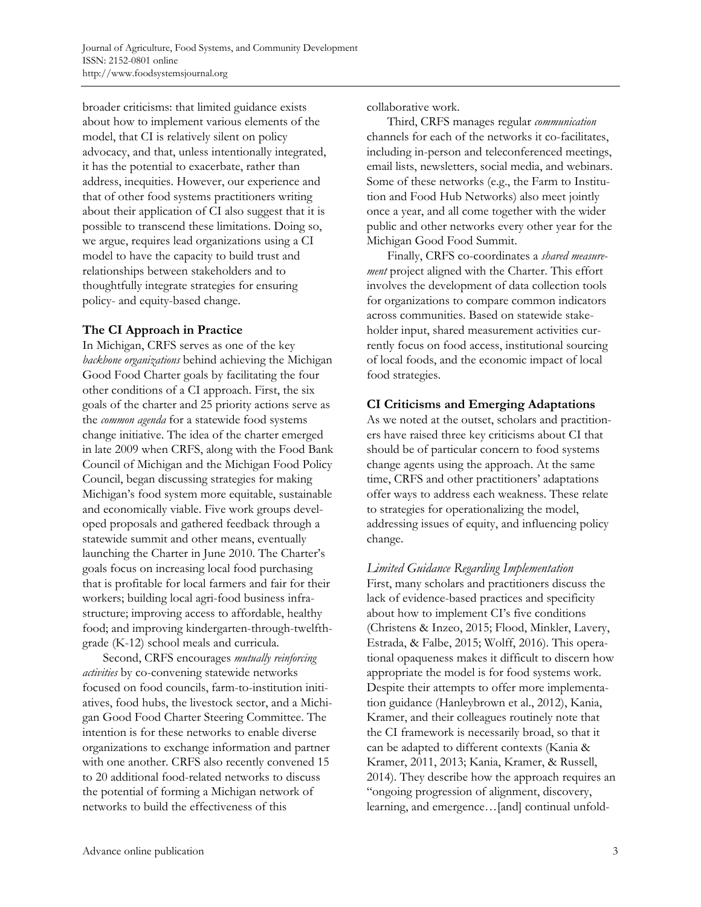broader criticisms: that limited guidance exists about how to implement various elements of the model, that CI is relatively silent on policy advocacy, and that, unless intentionally integrated, it has the potential to exacerbate, rather than address, inequities. However, our experience and that of other food systems practitioners writing about their application of CI also suggest that it is possible to transcend these limitations. Doing so, we argue, requires lead organizations using a CI model to have the capacity to build trust and relationships between stakeholders and to thoughtfully integrate strategies for ensuring policy- and equity-based change.

# **The CI Approach in Practice**

In Michigan, CRFS serves as one of the key *backbone organizations* behind achieving the Michigan Good Food Charter goals by facilitating the four other conditions of a CI approach. First, the six goals of the charter and 25 priority actions serve as the *common agenda* for a statewide food systems change initiative. The idea of the charter emerged in late 2009 when CRFS, along with the Food Bank Council of Michigan and the Michigan Food Policy Council, began discussing strategies for making Michigan's food system more equitable, sustainable and economically viable. Five work groups developed proposals and gathered feedback through a statewide summit and other means, eventually launching the Charter in June 2010. The Charter's goals focus on increasing local food purchasing that is profitable for local farmers and fair for their workers; building local agri-food business infrastructure; improving access to affordable, healthy food; and improving kindergarten-through-twelfthgrade (K-12) school meals and curricula.

 Second, CRFS encourages *mutually reinforcing activities* by co-convening statewide networks focused on food councils, farm-to-institution initiatives, food hubs, the livestock sector, and a Michigan Good Food Charter Steering Committee. The intention is for these networks to enable diverse organizations to exchange information and partner with one another. CRFS also recently convened 15 to 20 additional food-related networks to discuss the potential of forming a Michigan network of networks to build the effectiveness of this

collaborative work.

 Third, CRFS manages regular *communication* channels for each of the networks it co-facilitates, including in-person and teleconferenced meetings, email lists, newsletters, social media, and webinars. Some of these networks (e.g., the Farm to Institution and Food Hub Networks) also meet jointly once a year, and all come together with the wider public and other networks every other year for the Michigan Good Food Summit.

 Finally, CRFS co-coordinates a *shared measurement* project aligned with the Charter. This effort involves the development of data collection tools for organizations to compare common indicators across communities. Based on statewide stakeholder input, shared measurement activities currently focus on food access, institutional sourcing of local foods, and the economic impact of local food strategies.

# **CI Criticisms and Emerging Adaptations**

As we noted at the outset, scholars and practitioners have raised three key criticisms about CI that should be of particular concern to food systems change agents using the approach. At the same time, CRFS and other practitioners' adaptations offer ways to address each weakness. These relate to strategies for operationalizing the model, addressing issues of equity, and influencing policy change.

*Limited Guidance Regarding Implementation*  First, many scholars and practitioners discuss the lack of evidence-based practices and specificity about how to implement CI's five conditions (Christens & Inzeo, 2015; Flood, Minkler, Lavery, Estrada, & Falbe, 2015; Wolff, 2016). This operational opaqueness makes it difficult to discern how appropriate the model is for food systems work. Despite their attempts to offer more implementation guidance (Hanleybrown et al., 2012), Kania, Kramer, and their colleagues routinely note that the CI framework is necessarily broad, so that it can be adapted to different contexts (Kania & Kramer, 2011, 2013; Kania, Kramer, & Russell, 2014). They describe how the approach requires an "ongoing progression of alignment, discovery, learning, and emergence…[and] continual unfold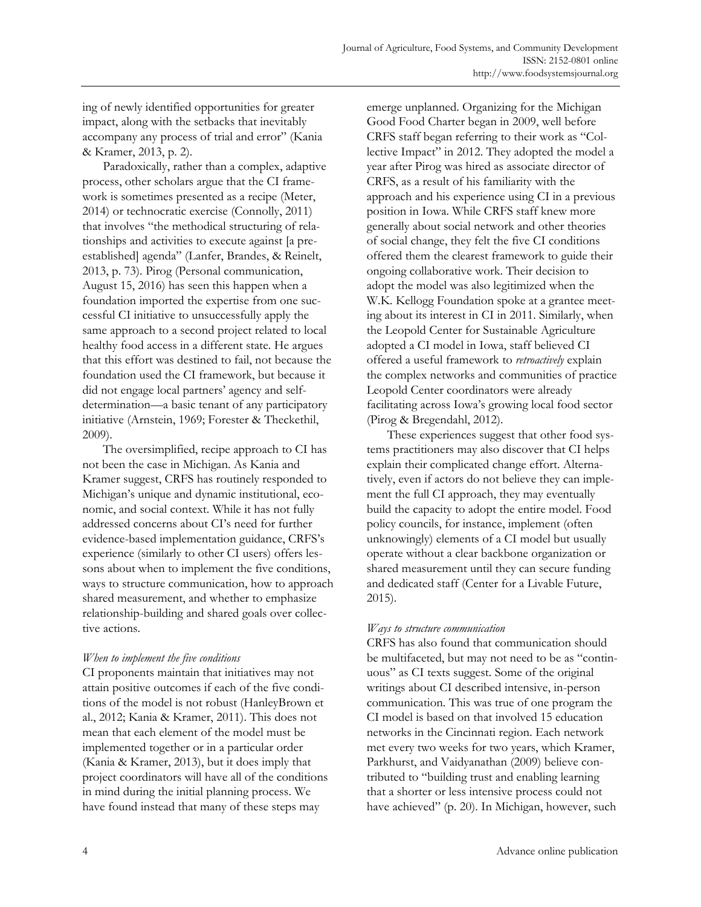ing of newly identified opportunities for greater impact, along with the setbacks that inevitably accompany any process of trial and error" (Kania & Kramer, 2013, p. 2).

 Paradoxically, rather than a complex, adaptive process, other scholars argue that the CI framework is sometimes presented as a recipe (Meter, 2014) or technocratic exercise (Connolly, 2011) that involves "the methodical structuring of relationships and activities to execute against [a preestablished] agenda" (Lanfer, Brandes, & Reinelt, 2013, p. 73). Pirog (Personal communication, August 15, 2016) has seen this happen when a foundation imported the expertise from one successful CI initiative to unsuccessfully apply the same approach to a second project related to local healthy food access in a different state. He argues that this effort was destined to fail, not because the foundation used the CI framework, but because it did not engage local partners' agency and selfdetermination—a basic tenant of any participatory initiative (Arnstein, 1969; Forester & Theckethil, 2009).

 The oversimplified, recipe approach to CI has not been the case in Michigan. As Kania and Kramer suggest, CRFS has routinely responded to Michigan's unique and dynamic institutional, economic, and social context. While it has not fully addressed concerns about CI's need for further evidence-based implementation guidance, CRFS's experience (similarly to other CI users) offers lessons about when to implement the five conditions, ways to structure communication, how to approach shared measurement, and whether to emphasize relationship-building and shared goals over collective actions.

## *When to implement the five conditions*

CI proponents maintain that initiatives may not attain positive outcomes if each of the five conditions of the model is not robust (HanleyBrown et al., 2012; Kania & Kramer, 2011). This does not mean that each element of the model must be implemented together or in a particular order (Kania & Kramer, 2013), but it does imply that project coordinators will have all of the conditions in mind during the initial planning process. We have found instead that many of these steps may

emerge unplanned. Organizing for the Michigan Good Food Charter began in 2009, well before CRFS staff began referring to their work as "Collective Impact" in 2012. They adopted the model a year after Pirog was hired as associate director of CRFS, as a result of his familiarity with the approach and his experience using CI in a previous position in Iowa. While CRFS staff knew more generally about social network and other theories of social change, they felt the five CI conditions offered them the clearest framework to guide their ongoing collaborative work. Their decision to adopt the model was also legitimized when the W.K. Kellogg Foundation spoke at a grantee meeting about its interest in CI in 2011. Similarly, when the Leopold Center for Sustainable Agriculture adopted a CI model in Iowa, staff believed CI offered a useful framework to *retroactively* explain the complex networks and communities of practice Leopold Center coordinators were already facilitating across Iowa's growing local food sector (Pirog & Bregendahl, 2012).

 These experiences suggest that other food systems practitioners may also discover that CI helps explain their complicated change effort. Alternatively, even if actors do not believe they can implement the full CI approach, they may eventually build the capacity to adopt the entire model. Food policy councils, for instance, implement (often unknowingly) elements of a CI model but usually operate without a clear backbone organization or shared measurement until they can secure funding and dedicated staff (Center for a Livable Future, 2015).

# *Ways to structure communication*

CRFS has also found that communication should be multifaceted, but may not need to be as "continuous" as CI texts suggest. Some of the original writings about CI described intensive, in-person communication. This was true of one program the CI model is based on that involved 15 education networks in the Cincinnati region. Each network met every two weeks for two years, which Kramer, Parkhurst, and Vaidyanathan (2009) believe contributed to "building trust and enabling learning that a shorter or less intensive process could not have achieved" (p. 20). In Michigan, however, such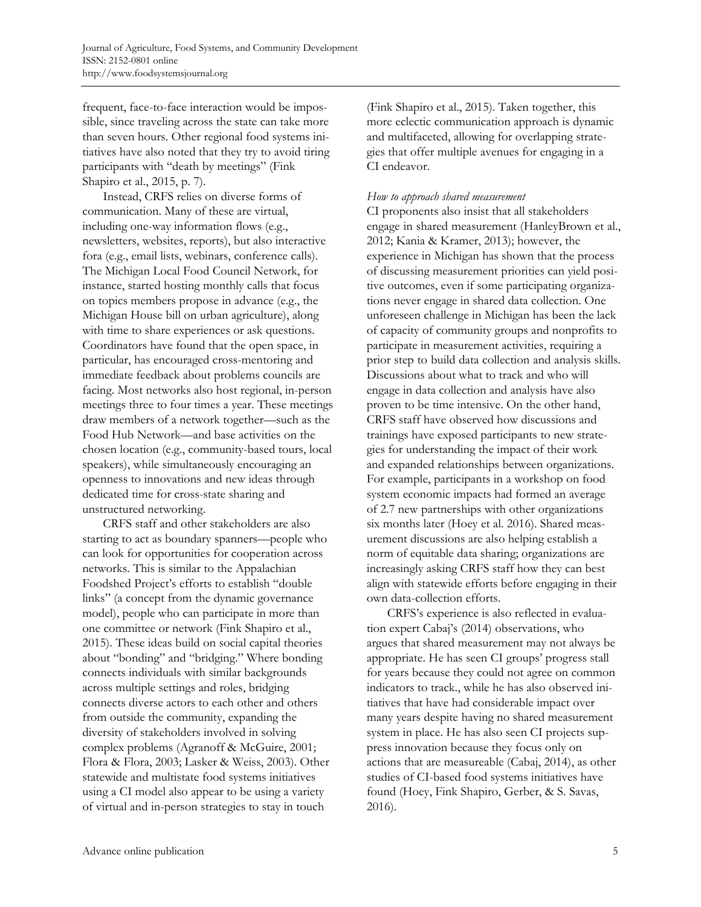frequent, face-to-face interaction would be impossible, since traveling across the state can take more than seven hours. Other regional food systems initiatives have also noted that they try to avoid tiring participants with "death by meetings" (Fink Shapiro et al., 2015, p. 7).

 Instead, CRFS relies on diverse forms of communication. Many of these are virtual, including one-way information flows (e.g., newsletters, websites, reports), but also interactive fora (e.g., email lists, webinars, conference calls). The Michigan Local Food Council Network, for instance, started hosting monthly calls that focus on topics members propose in advance (e.g., the Michigan House bill on urban agriculture), along with time to share experiences or ask questions. Coordinators have found that the open space, in particular, has encouraged cross-mentoring and immediate feedback about problems councils are facing. Most networks also host regional, in-person meetings three to four times a year. These meetings draw members of a network together—such as the Food Hub Network—and base activities on the chosen location (e.g., community-based tours, local speakers), while simultaneously encouraging an openness to innovations and new ideas through dedicated time for cross-state sharing and unstructured networking.

 CRFS staff and other stakeholders are also starting to act as boundary spanners—people who can look for opportunities for cooperation across networks. This is similar to the Appalachian Foodshed Project's efforts to establish "double links" (a concept from the dynamic governance model), people who can participate in more than one committee or network (Fink Shapiro et al., 2015). These ideas build on social capital theories about "bonding" and "bridging." Where bonding connects individuals with similar backgrounds across multiple settings and roles, bridging connects diverse actors to each other and others from outside the community, expanding the diversity of stakeholders involved in solving complex problems (Agranoff & McGuire, 2001; Flora & Flora, 2003; Lasker & Weiss, 2003). Other statewide and multistate food systems initiatives using a CI model also appear to be using a variety of virtual and in-person strategies to stay in touch

(Fink Shapiro et al., 2015). Taken together, this more eclectic communication approach is dynamic and multifaceted, allowing for overlapping strategies that offer multiple avenues for engaging in a CI endeavor.

### *How to approach shared measurement*

CI proponents also insist that all stakeholders engage in shared measurement (HanleyBrown et al., 2012; Kania & Kramer, 2013); however, the experience in Michigan has shown that the process of discussing measurement priorities can yield positive outcomes, even if some participating organizations never engage in shared data collection. One unforeseen challenge in Michigan has been the lack of capacity of community groups and nonprofits to participate in measurement activities, requiring a prior step to build data collection and analysis skills. Discussions about what to track and who will engage in data collection and analysis have also proven to be time intensive. On the other hand, CRFS staff have observed how discussions and trainings have exposed participants to new strategies for understanding the impact of their work and expanded relationships between organizations. For example, participants in a workshop on food system economic impacts had formed an average of 2.7 new partnerships with other organizations six months later (Hoey et al. 2016). Shared measurement discussions are also helping establish a norm of equitable data sharing; organizations are increasingly asking CRFS staff how they can best align with statewide efforts before engaging in their own data-collection efforts.

 CRFS's experience is also reflected in evaluation expert Cabaj's (2014) observations, who argues that shared measurement may not always be appropriate. He has seen CI groups' progress stall for years because they could not agree on common indicators to track., while he has also observed initiatives that have had considerable impact over many years despite having no shared measurement system in place. He has also seen CI projects suppress innovation because they focus only on actions that are measureable (Cabaj, 2014), as other studies of CI-based food systems initiatives have found (Hoey, Fink Shapiro, Gerber, & S. Savas, 2016).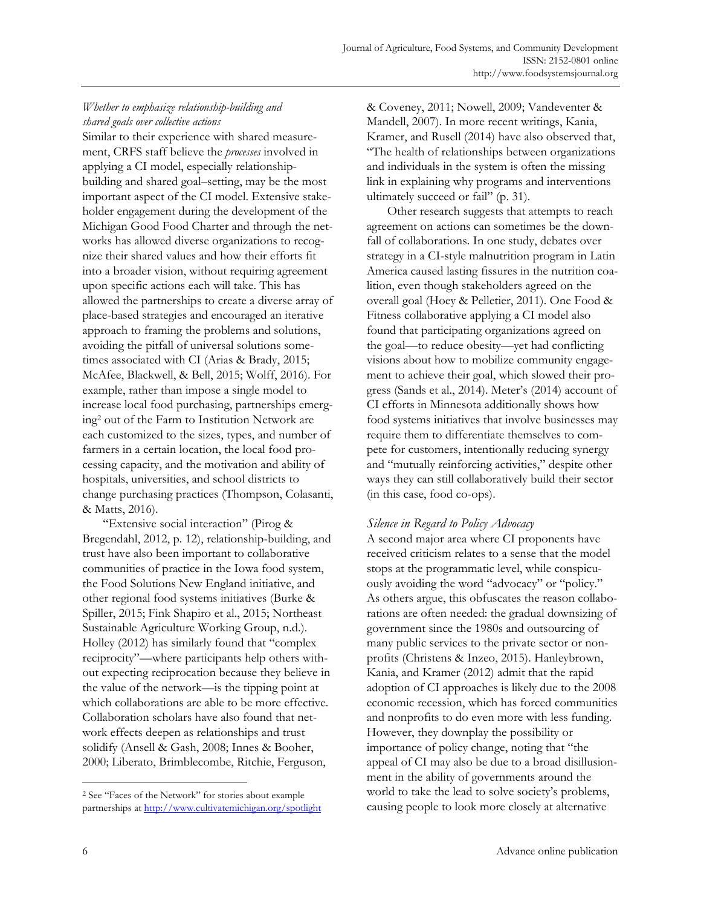# *Whether to emphasize relationship-building and shared goals over collective actions*

Similar to their experience with shared measurement, CRFS staff believe the *processes* involved in applying a CI model, especially relationshipbuilding and shared goal–setting, may be the most important aspect of the CI model. Extensive stakeholder engagement during the development of the Michigan Good Food Charter and through the networks has allowed diverse organizations to recognize their shared values and how their efforts fit into a broader vision, without requiring agreement upon specific actions each will take. This has allowed the partnerships to create a diverse array of place-based strategies and encouraged an iterative approach to framing the problems and solutions, avoiding the pitfall of universal solutions sometimes associated with CI (Arias & Brady, 2015; McAfee, Blackwell, & Bell, 2015; Wolff, 2016). For example, rather than impose a single model to increase local food purchasing, partnerships emerging2 out of the Farm to Institution Network are each customized to the sizes, types, and number of farmers in a certain location, the local food processing capacity, and the motivation and ability of hospitals, universities, and school districts to change purchasing practices (Thompson, Colasanti, & Matts, 2016).

 "Extensive social interaction" (Pirog & Bregendahl, 2012, p. 12), relationship-building, and trust have also been important to collaborative communities of practice in the Iowa food system, the Food Solutions New England initiative, and other regional food systems initiatives (Burke & Spiller, 2015; Fink Shapiro et al., 2015; Northeast Sustainable Agriculture Working Group, n.d.). Holley (2012) has similarly found that "complex reciprocity"—where participants help others without expecting reciprocation because they believe in the value of the network—is the tipping point at which collaborations are able to be more effective. Collaboration scholars have also found that network effects deepen as relationships and trust solidify (Ansell & Gash, 2008; Innes & Booher, 2000; Liberato, Brimblecombe, Ritchie, Ferguson,

& Coveney, 2011; Nowell, 2009; Vandeventer & Mandell, 2007). In more recent writings, Kania, Kramer, and Rusell (2014) have also observed that, "The health of relationships between organizations and individuals in the system is often the missing link in explaining why programs and interventions ultimately succeed or fail" (p. 31).

 Other research suggests that attempts to reach agreement on actions can sometimes be the downfall of collaborations. In one study, debates over strategy in a CI-style malnutrition program in Latin America caused lasting fissures in the nutrition coalition, even though stakeholders agreed on the overall goal (Hoey & Pelletier, 2011). One Food & Fitness collaborative applying a CI model also found that participating organizations agreed on the goal—to reduce obesity—yet had conflicting visions about how to mobilize community engagement to achieve their goal, which slowed their progress (Sands et al., 2014). Meter's (2014) account of CI efforts in Minnesota additionally shows how food systems initiatives that involve businesses may require them to differentiate themselves to compete for customers, intentionally reducing synergy and "mutually reinforcing activities," despite other ways they can still collaboratively build their sector (in this case, food co-ops).

# *Silence in Regard to Policy Advocacy*

A second major area where CI proponents have received criticism relates to a sense that the model stops at the programmatic level, while conspicuously avoiding the word "advocacy" or "policy." As others argue, this obfuscates the reason collaborations are often needed: the gradual downsizing of government since the 1980s and outsourcing of many public services to the private sector or nonprofits (Christens & Inzeo, 2015). Hanleybrown, Kania, and Kramer (2012) admit that the rapid adoption of CI approaches is likely due to the 2008 economic recession, which has forced communities and nonprofits to do even more with less funding. However, they downplay the possibility or importance of policy change, noting that "the appeal of CI may also be due to a broad disillusionment in the ability of governments around the world to take the lead to solve society's problems, causing people to look more closely at alternative

<sup>2</sup> See "Faces of the Network" for stories about example partnerships at http://www.cultivatemichigan.org/spotlight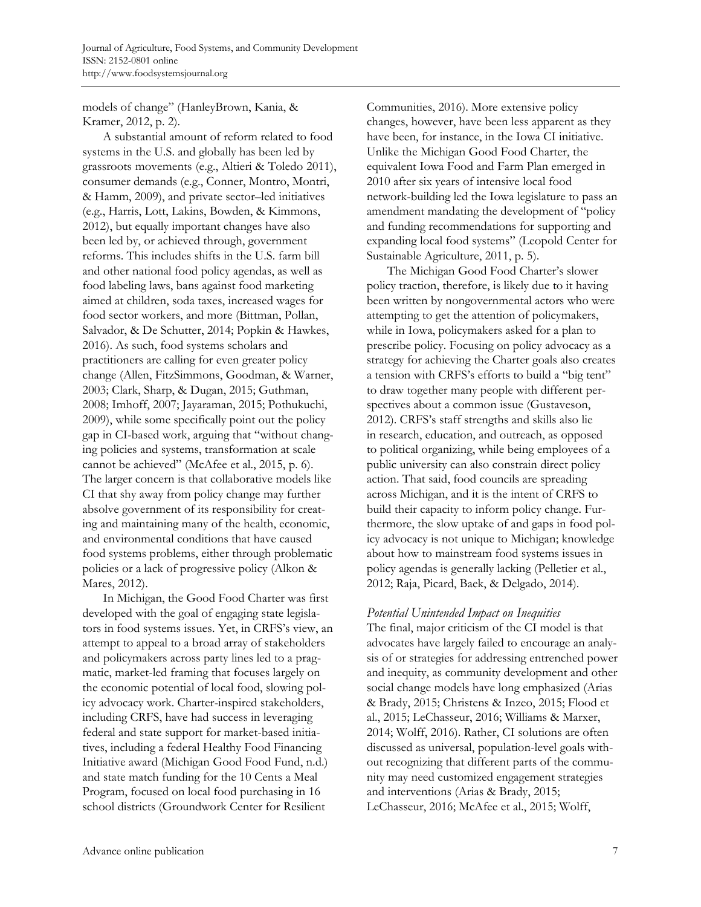models of change" (HanleyBrown, Kania, & Kramer, 2012, p. 2).

 A substantial amount of reform related to food systems in the U.S. and globally has been led by grassroots movements (e.g., Altieri & Toledo 2011), consumer demands (e.g., Conner, Montro, Montri, & Hamm, 2009), and private sector–led initiatives (e.g., Harris, Lott, Lakins, Bowden, & Kimmons, 2012), but equally important changes have also been led by, or achieved through, government reforms. This includes shifts in the U.S. farm bill and other national food policy agendas, as well as food labeling laws, bans against food marketing aimed at children, soda taxes, increased wages for food sector workers, and more (Bittman, Pollan, Salvador, & De Schutter, 2014; Popkin & Hawkes, 2016). As such, food systems scholars and practitioners are calling for even greater policy change (Allen, FitzSimmons, Goodman, & Warner, 2003; Clark, Sharp, & Dugan, 2015; Guthman, 2008; Imhoff, 2007; Jayaraman, 2015; Pothukuchi, 2009), while some specifically point out the policy gap in CI-based work, arguing that "without changing policies and systems, transformation at scale cannot be achieved" (McAfee et al., 2015, p. 6). The larger concern is that collaborative models like CI that shy away from policy change may further absolve government of its responsibility for creating and maintaining many of the health, economic, and environmental conditions that have caused food systems problems, either through problematic policies or a lack of progressive policy (Alkon & Mares, 2012).

In Michigan, the Good Food Charter was first developed with the goal of engaging state legislators in food systems issues. Yet, in CRFS's view, an attempt to appeal to a broad array of stakeholders and policymakers across party lines led to a pragmatic, market-led framing that focuses largely on the economic potential of local food, slowing policy advocacy work. Charter-inspired stakeholders, including CRFS, have had success in leveraging federal and state support for market-based initiatives, including a federal Healthy Food Financing Initiative award (Michigan Good Food Fund, n.d.) and state match funding for the 10 Cents a Meal Program, focused on local food purchasing in 16 school districts (Groundwork Center for Resilient

Communities, 2016). More extensive policy changes, however, have been less apparent as they have been, for instance, in the Iowa CI initiative. Unlike the Michigan Good Food Charter, the equivalent Iowa Food and Farm Plan emerged in 2010 after six years of intensive local food network-building led the Iowa legislature to pass an amendment mandating the development of "policy and funding recommendations for supporting and expanding local food systems" (Leopold Center for Sustainable Agriculture, 2011, p. 5).

 The Michigan Good Food Charter's slower policy traction, therefore, is likely due to it having been written by nongovernmental actors who were attempting to get the attention of policymakers, while in Iowa, policymakers asked for a plan to prescribe policy. Focusing on policy advocacy as a strategy for achieving the Charter goals also creates a tension with CRFS's efforts to build a "big tent" to draw together many people with different perspectives about a common issue (Gustaveson, 2012). CRFS's staff strengths and skills also lie in research, education, and outreach, as opposed to political organizing, while being employees of a public university can also constrain direct policy action. That said, food councils are spreading across Michigan, and it is the intent of CRFS to build their capacity to inform policy change. Furthermore, the slow uptake of and gaps in food policy advocacy is not unique to Michigan; knowledge about how to mainstream food systems issues in policy agendas is generally lacking (Pelletier et al., 2012; Raja, Picard, Baek, & Delgado, 2014).

## *Potential Unintended Impact on Inequities*

The final, major criticism of the CI model is that advocates have largely failed to encourage an analysis of or strategies for addressing entrenched power and inequity, as community development and other social change models have long emphasized (Arias & Brady, 2015; Christens & Inzeo, 2015; Flood et al., 2015; LeChasseur, 2016; Williams & Marxer, 2014; Wolff, 2016). Rather, CI solutions are often discussed as universal, population-level goals without recognizing that different parts of the community may need customized engagement strategies and interventions (Arias & Brady, 2015; LeChasseur, 2016; McAfee et al., 2015; Wolff,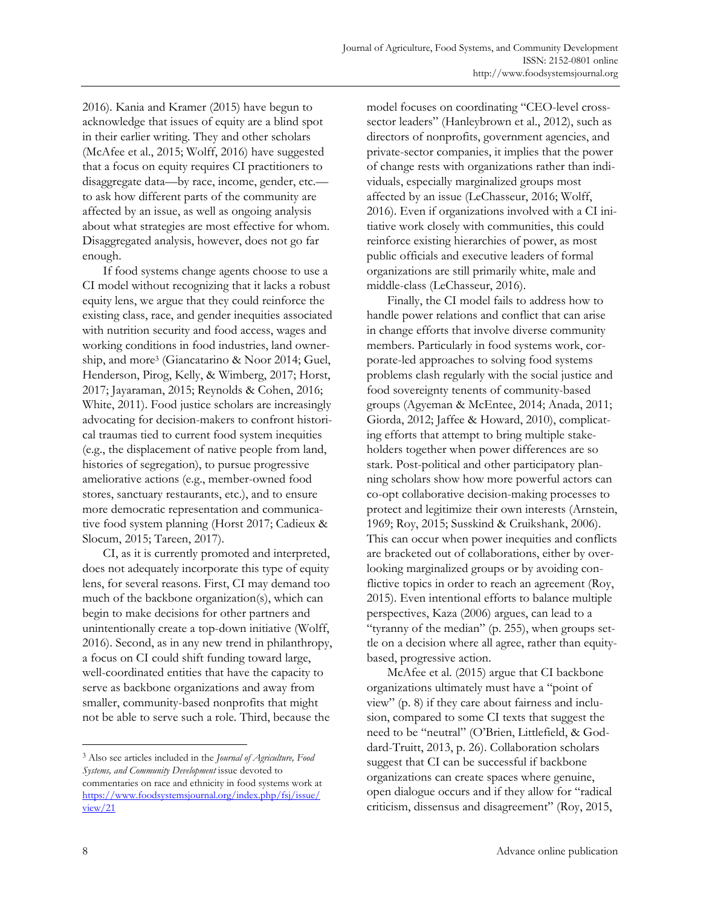2016). Kania and Kramer (2015) have begun to acknowledge that issues of equity are a blind spot in their earlier writing. They and other scholars (McAfee et al., 2015; Wolff, 2016) have suggested that a focus on equity requires CI practitioners to disaggregate data—by race, income, gender, etc. to ask how different parts of the community are affected by an issue, as well as ongoing analysis about what strategies are most effective for whom. Disaggregated analysis, however, does not go far enough.

 If food systems change agents choose to use a CI model without recognizing that it lacks a robust equity lens, we argue that they could reinforce the existing class, race, and gender inequities associated with nutrition security and food access, wages and working conditions in food industries, land ownership, and more3 (Giancatarino & Noor 2014; Guel, Henderson, Pirog, Kelly, & Wimberg, 2017; Horst, 2017; Jayaraman, 2015; Reynolds & Cohen, 2016; White, 2011). Food justice scholars are increasingly advocating for decision-makers to confront historical traumas tied to current food system inequities (e.g., the displacement of native people from land, histories of segregation), to pursue progressive ameliorative actions (e.g., member-owned food stores, sanctuary restaurants, etc.), and to ensure more democratic representation and communicative food system planning (Horst 2017; Cadieux & Slocum, 2015; Tareen, 2017).

 CI, as it is currently promoted and interpreted, does not adequately incorporate this type of equity lens, for several reasons. First, CI may demand too much of the backbone organization(s), which can begin to make decisions for other partners and unintentionally create a top-down initiative (Wolff, 2016). Second, as in any new trend in philanthropy, a focus on CI could shift funding toward large, well-coordinated entities that have the capacity to serve as backbone organizations and away from smaller, community-based nonprofits that might not be able to serve such a role. Third, because the

model focuses on coordinating "CEO-level crosssector leaders" (Hanleybrown et al., 2012), such as directors of nonprofits, government agencies, and private-sector companies, it implies that the power of change rests with organizations rather than individuals, especially marginalized groups most affected by an issue (LeChasseur, 2016; Wolff, 2016). Even if organizations involved with a CI initiative work closely with communities, this could reinforce existing hierarchies of power, as most public officials and executive leaders of formal organizations are still primarily white, male and middle-class (LeChasseur, 2016).

 Finally, the CI model fails to address how to handle power relations and conflict that can arise in change efforts that involve diverse community members. Particularly in food systems work, corporate-led approaches to solving food systems problems clash regularly with the social justice and food sovereignty tenents of community-based groups (Agyeman & McEntee, 2014; Anada, 2011; Giorda, 2012; Jaffee & Howard, 2010), complicating efforts that attempt to bring multiple stakeholders together when power differences are so stark. Post-political and other participatory planning scholars show how more powerful actors can co-opt collaborative decision-making processes to protect and legitimize their own interests (Arnstein, 1969; Roy, 2015; Susskind & Cruikshank, 2006). This can occur when power inequities and conflicts are bracketed out of collaborations, either by overlooking marginalized groups or by avoiding conflictive topics in order to reach an agreement (Roy, 2015). Even intentional efforts to balance multiple perspectives, Kaza (2006) argues, can lead to a "tyranny of the median" (p. 255), when groups settle on a decision where all agree, rather than equitybased, progressive action.

 McAfee et al. (2015) argue that CI backbone organizations ultimately must have a "point of view" (p. 8) if they care about fairness and inclusion, compared to some CI texts that suggest the need to be "neutral" (O'Brien, Littlefield, & Goddard-Truitt, 2013, p. 26). Collaboration scholars suggest that CI can be successful if backbone organizations can create spaces where genuine, open dialogue occurs and if they allow for "radical criticism, dissensus and disagreement" (Roy, 2015,

<sup>3</sup> Also see articles included in the *Journal of Agriculture, Food Systems, and Community Development* issue devoted to commentaries on race and ethnicity in food systems work at [https://www.foodsystemsjournal.org/index.php/fsj/issue/](https://www.foodsystemsjournal.org/index.php/fsj/issue/view/21)  view/21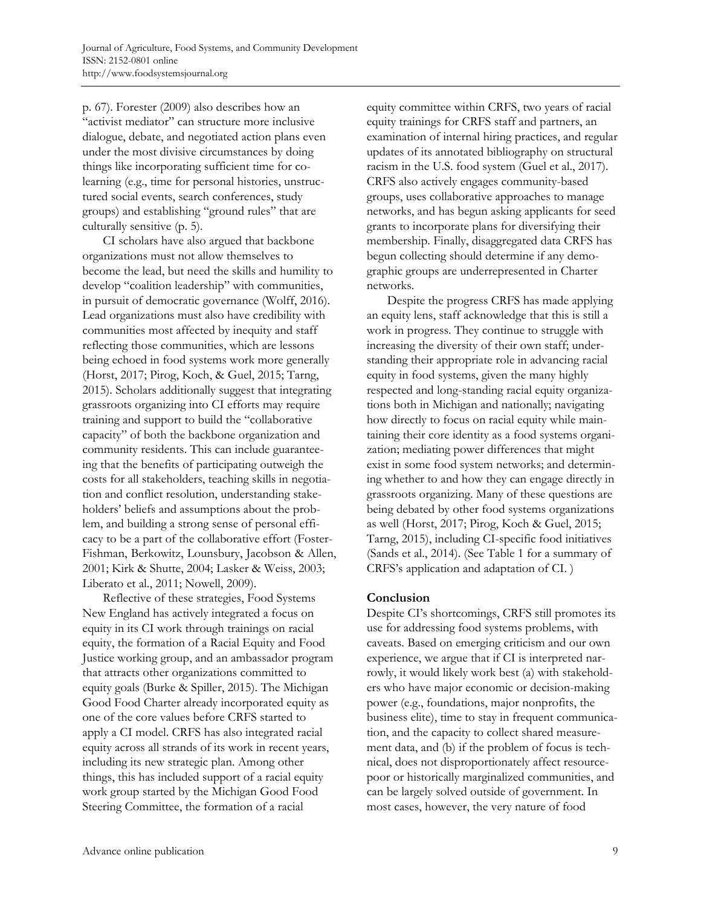p. 67). Forester (2009) also describes how an "activist mediator" can structure more inclusive dialogue, debate, and negotiated action plans even under the most divisive circumstances by doing things like incorporating sufficient time for colearning (e.g., time for personal histories, unstructured social events, search conferences, study groups) and establishing "ground rules" that are culturally sensitive (p. 5).

 CI scholars have also argued that backbone organizations must not allow themselves to become the lead, but need the skills and humility to develop "coalition leadership" with communities, in pursuit of democratic governance (Wolff, 2016). Lead organizations must also have credibility with communities most affected by inequity and staff reflecting those communities, which are lessons being echoed in food systems work more generally (Horst, 2017; Pirog, Koch, & Guel, 2015; Tarng, 2015). Scholars additionally suggest that integrating grassroots organizing into CI efforts may require training and support to build the "collaborative capacity" of both the backbone organization and community residents. This can include guaranteeing that the benefits of participating outweigh the costs for all stakeholders, teaching skills in negotiation and conflict resolution, understanding stakeholders' beliefs and assumptions about the problem, and building a strong sense of personal efficacy to be a part of the collaborative effort (Foster-Fishman, Berkowitz, Lounsbury, Jacobson & Allen, 2001; Kirk & Shutte, 2004; Lasker & Weiss, 2003; Liberato et al., 2011; Nowell, 2009).

 Reflective of these strategies, Food Systems New England has actively integrated a focus on equity in its CI work through trainings on racial equity, the formation of a Racial Equity and Food Justice working group, and an ambassador program that attracts other organizations committed to equity goals (Burke & Spiller, 2015). The Michigan Good Food Charter already incorporated equity as one of the core values before CRFS started to apply a CI model. CRFS has also integrated racial equity across all strands of its work in recent years, including its new strategic plan. Among other things, this has included support of a racial equity work group started by the Michigan Good Food Steering Committee, the formation of a racial

equity committee within CRFS, two years of racial equity trainings for CRFS staff and partners, an examination of internal hiring practices, and regular updates of its annotated bibliography on structural racism in the U.S. food system (Guel et al., 2017). CRFS also actively engages community-based groups, uses collaborative approaches to manage networks, and has begun asking applicants for seed grants to incorporate plans for diversifying their membership. Finally, disaggregated data CRFS has begun collecting should determine if any demographic groups are underrepresented in Charter networks.

 Despite the progress CRFS has made applying an equity lens, staff acknowledge that this is still a work in progress. They continue to struggle with increasing the diversity of their own staff; understanding their appropriate role in advancing racial equity in food systems, given the many highly respected and long-standing racial equity organizations both in Michigan and nationally; navigating how directly to focus on racial equity while maintaining their core identity as a food systems organization; mediating power differences that might exist in some food system networks; and determining whether to and how they can engage directly in grassroots organizing. Many of these questions are being debated by other food systems organizations as well (Horst, 2017; Pirog, Koch & Guel, 2015; Tarng, 2015), including CI-specific food initiatives (Sands et al., 2014). (See Table 1 for a summary of CRFS's application and adaptation of CI. )

## **Conclusion**

Despite CI's shortcomings, CRFS still promotes its use for addressing food systems problems, with caveats. Based on emerging criticism and our own experience, we argue that if CI is interpreted narrowly, it would likely work best (a) with stakeholders who have major economic or decision-making power (e.g., foundations, major nonprofits, the business elite), time to stay in frequent communication, and the capacity to collect shared measurement data, and (b) if the problem of focus is technical, does not disproportionately affect resourcepoor or historically marginalized communities, and can be largely solved outside of government. In most cases, however, the very nature of food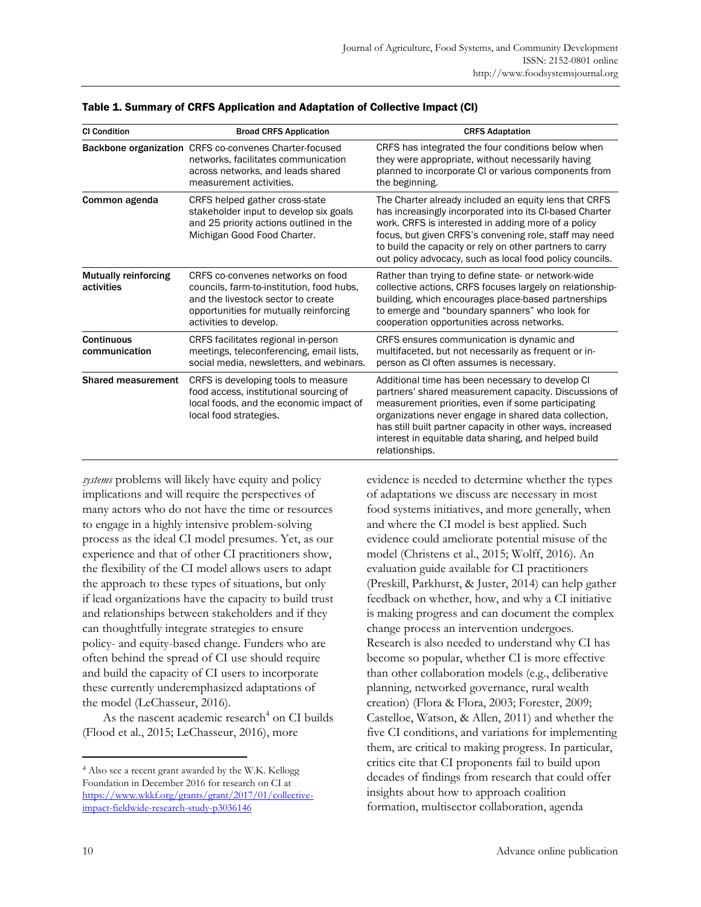| <b>CI Condition</b>                       | <b>Broad CRFS Application</b>                                                                                                                                                            | <b>CRFS Adaptation</b>                                                                                                                                                                                                                                                                                                                                          |
|-------------------------------------------|------------------------------------------------------------------------------------------------------------------------------------------------------------------------------------------|-----------------------------------------------------------------------------------------------------------------------------------------------------------------------------------------------------------------------------------------------------------------------------------------------------------------------------------------------------------------|
|                                           | Backbone organization CRFS co-convenes Charter-focused<br>networks, facilitates communication<br>across networks, and leads shared<br>measurement activities.                            | CRFS has integrated the four conditions below when<br>they were appropriate, without necessarily having<br>planned to incorporate CI or various components from<br>the beginning.                                                                                                                                                                               |
| Common agenda                             | CRFS helped gather cross-state<br>stakeholder input to develop six goals<br>and 25 priority actions outlined in the<br>Michigan Good Food Charter.                                       | The Charter already included an equity lens that CRFS<br>has increasingly incorporated into its CI-based Charter<br>work. CRFS is interested in adding more of a policy<br>focus, but given CRFS's convening role, staff may need<br>to build the capacity or rely on other partners to carry<br>out policy advocacy, such as local food policy councils.       |
| <b>Mutually reinforcing</b><br>activities | CRFS co-convenes networks on food<br>councils, farm-to-institution, food hubs,<br>and the livestock sector to create<br>opportunities for mutually reinforcing<br>activities to develop. | Rather than trying to define state- or network-wide<br>collective actions, CRFS focuses largely on relationship-<br>building, which encourages place-based partnerships<br>to emerge and "boundary spanners" who look for<br>cooperation opportunities across networks.                                                                                         |
| <b>Continuous</b><br>communication        | CRFS facilitates regional in-person<br>meetings, teleconferencing, email lists,<br>social media, newsletters, and webinars.                                                              | CRFS ensures communication is dynamic and<br>multifaceted, but not necessarily as frequent or in-<br>person as CI often assumes is necessary.                                                                                                                                                                                                                   |
| <b>Shared measurement</b>                 | CRFS is developing tools to measure<br>food access, institutional sourcing of<br>local foods, and the economic impact of<br>local food strategies.                                       | Additional time has been necessary to develop CI<br>partners' shared measurement capacity. Discussions of<br>measurement priorities, even if some participating<br>organizations never engage in shared data collection,<br>has still built partner capacity in other ways, increased<br>interest in equitable data sharing, and helped build<br>relationships. |

#### Table 1. Summary of CRFS Application and Adaptation of Collective Impact (CI)

*systems* problems will likely have equity and policy implications and will require the perspectives of many actors who do not have the time or resources to engage in a highly intensive problem-solving process as the ideal CI model presumes. Yet, as our experience and that of other CI practitioners show, the flexibility of the CI model allows users to adapt the approach to these types of situations, but only if lead organizations have the capacity to build trust and relationships between stakeholders and if they can thoughtfully integrate strategies to ensure policy- and equity-based change. Funders who are often behind the spread of CI use should require and build the capacity of CI users to incorporate these currently underemphasized adaptations of the model (LeChasseur, 2016).

As the nascent academic research<sup>4</sup> on CI builds (Flood et al., 2015; LeChasseur, 2016), more

evidence is needed to determine whether the types of adaptations we discuss are necessary in most food systems initiatives, and more generally, when and where the CI model is best applied. Such evidence could ameliorate potential misuse of the model (Christens et al., 2015; Wolff, 2016). An evaluation guide available for CI practitioners (Preskill, Parkhurst, & Juster, 2014) can help gather feedback on whether, how, and why a CI initiative is making progress and can document the complex change process an intervention undergoes. Research is also needed to understand why CI has become so popular, whether CI is more effective than other collaboration models (e.g., deliberative planning, networked governance, rural wealth creation) (Flora & Flora, 2003; Forester, 2009; Castelloe, Watson, & Allen, 2011) and whether the five CI conditions, and variations for implementing them, are critical to making progress. In particular, critics cite that CI proponents fail to build upon decades of findings from research that could offer insights about how to approach coalition formation, multisector collaboration, agenda

<sup>4</sup> Also see a recent grant awarded by the W.K. Kellogg Foundation in December 2016 for research on CI at [https://www.wkkf.org/grants/grant/2017/01/collective](https://www.wkkf.org/grants/grant/2017/01/collective-impact-fieldwide-research-study-p3036146)impact-fieldwide-research-study-p3036146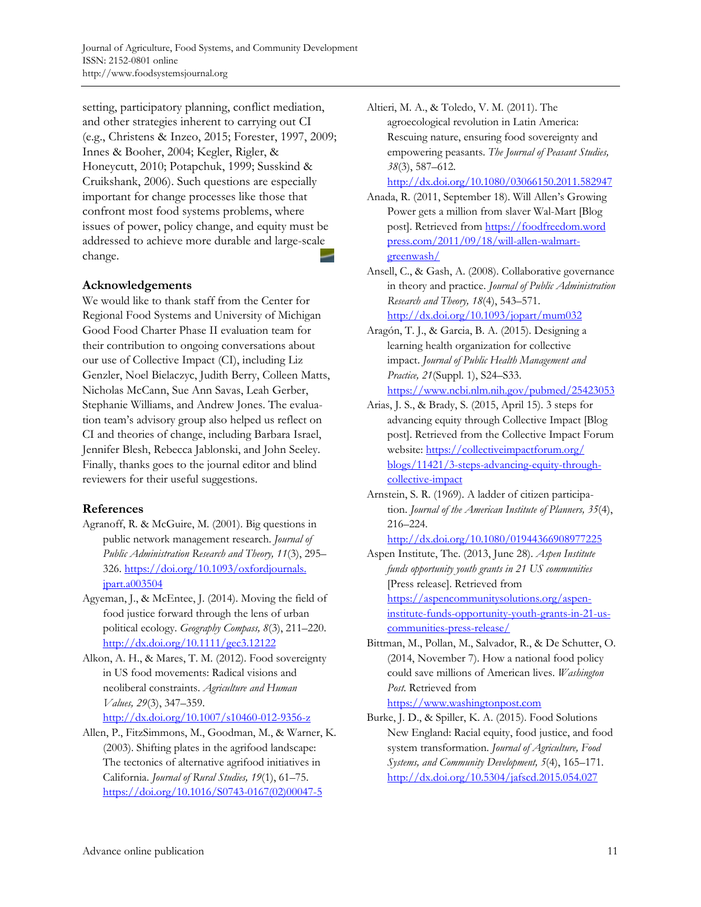setting, participatory planning, conflict mediation, and other strategies inherent to carrying out CI (e.g., Christens & Inzeo, 2015; Forester, 1997, 2009; Innes & Booher, 2004; Kegler, Rigler, & Honeycutt, 2010; Potapchuk, 1999; Susskind & Cruikshank, 2006). Such questions are especially important for change processes like those that confront most food systems problems, where issues of power, policy change, and equity must be addressed to achieve more durable and large-scale change.

## **Acknowledgements**

We would like to thank staff from the Center for Regional Food Systems and University of Michigan Good Food Charter Phase II evaluation team for thei[r contribution to ongoing conversations abou](https://doi.org/10.1093/oxfordjournals.jpart.a003504)t our use of Collective Impact (CI), including Liz Genzler, Noel Bielaczyc, Judith Berry, Colleen Matts, Nicholas McCann, Sue Ann Savas, Leah Gerber, Stephanie Williams, and Andrew Jones. The evaluation team's advisory group also helped us reflect on CI and theories of change, including Barbara Israel, Jennifer Blesh, Rebecca Jablonski, and John Seeley. Finally, thanks goes to the journal editor and blind reviewers for their useful suggestions.

## **References**

- Agranoff, R. & McGuire, M. (2001). Big questions in public network management research. *Journal of Public Administration Research and Theory, 11*(3), 295– [326. https://doi.org/10.1093/oxfordjournals.](https://doi.org/10.1093/oxfordjournals.jpart.a003504)  jpart.a003504
- Agyeman, J., & McEntee, J. (2014). Moving the field of food justice forward through the lens of urban political ecology. *Geography Compass, 8*(3), 211–220. http://dx.doi.org/10.1111/gec3.12122
- Alkon, A. H., & Mares, T. M. (2012). Food sovereignty in US food movements: Radical visions and neoliberal constraints. *Agriculture and Human Values, 29*(3), 347–359.

http://dx.doi.org/10.1007/s10460-012-9356-z

Allen, P., FitzSimmons, M., Goodman, M., & Warner, K. (2003). Shifting plates in the agrifood landscape: The tectonics of alternative agrifood initiatives in California. *Journal of Rural Studies, 19*(1), 61–75. [https://doi.org/10.1016/S0743-0167\(02\)00047-5](https://doi.org/10.1016/S0743-0167(02)00047-5) 

Altieri, M. A., & Toledo, V. M. (2011). The agroecological revolution in Latin America: Rescuing nature, ensuring food sovereignty and empowering peasants. *The Journal of Peasant Studies, 38*(3), 587–612.

http://dx.doi.org/10.1080/03066150.2011.582947

- Anada, R. (2011, September 18). Will Allen's Growing Power gets a million from slaver Wal-Mart [Blog [post\]. Retrieved from https://foodfreedom.word](https://foodfreedom.wordpress.com/2011/09/18/will-allen-walmart-greenwash/)  press.com/2011/09/18/will-allen-walmartgreenwash/
- Ansell, C., & Gash, A. (2008). Collaborative governance in theory and practice. *Journal of Public Administration Research and Theory, 18*(4), 543–571. http://dx.doi.org/10.1093/jopart/mum032
- Aragón, T. J., & Garcia, B. A. (2015). Designing a learning health organization for collective impact. *Journal of Public Health Management and Practice, 21*(Suppl. 1), S24–S33. https://www.ncbi.nlm.nih.gov/pubmed/25423053
- Arias, J. S., & Brady, S. (2015, April 15). 3 steps for advancing equity through Collective Impact [Blog post]. Retrieved from the Collective Impact Forum website: https://collectiveimpactforum.org/ [blogs/11421/3-steps-advancing-equity-through](https://collectiveimpactforum.org/blogs/11421/3-steps-advancing-equity-through-collective-impact)collective-impact
- Arnstein, S. R. (1969). A ladder of citizen participation. *Journal of the American Institute of Planners, 35*(4), 216–224.

http://dx.doi.org/10.1080/01944366908977225

Aspen Institute, The. (2013, June 28). *Aspen Institute funds opportunity youth grants in 21 US communities* [Press release]. Retrieved from https://aspencommunitysolutions.org/aspeninstitute-funds-opportunity-youth-grants-in-21-uscommunities-press-release/

- Bittman, M., Pollan, M., Salvador, R., & De Schutter, O. (2014, November 7). How a national food policy could save millions of American lives. *Washington Post*. Retrieved from https://www.washingtonpost.com
- Burke, J. D., & Spiller, K. A. (2015). Food Solutions New England: Racial equity, food justice, and food system transformation. *Journal of Agriculture, Food Systems, and Community Development, 5*(4), 165–171. http://dx.doi.org/10.5304/jafscd.2015.054.027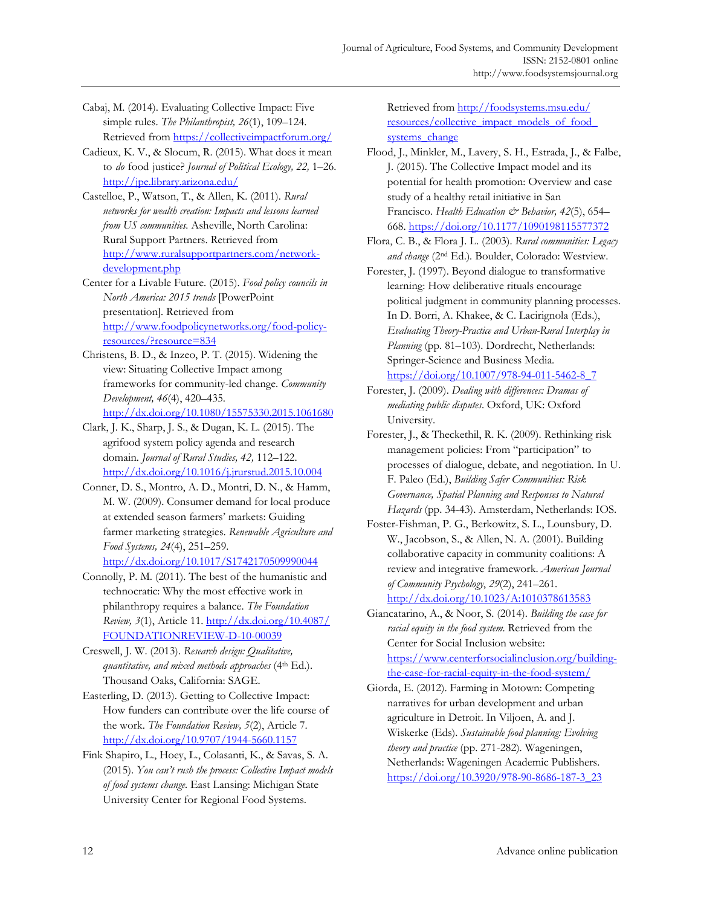- Cabaj, M. (2014). Evaluating Collective Impact: Five simple rules. *The Philanthropist, 26*(1), 109–124. Retrieved from https://collectiveimpactforum.org/
- Cadieux, K. V., & Slocum, R. (2015). What does it mean to *do* food justice? *Journal of Political Ecology, 22,* 1–26. http://jpe.library.arizona.edu/
- Castelloe, P., Watson, T., & Allen, K. (2011). *Rural networks for wealth creation: Impacts and lessons learned from US communities.* Asheville, North Carolina: Rural Support Partners. Retrieved from http://www.ruralsupportpartners.com/networkdevelopment.php
- Center for a Livable Future. (2015). *Food policy councils in North America: 2015 trends* [PowerPoint presentation]*.* Retrieved from http://www.foodpolicynetworks.org/food-policyresources/?resource=834
- Christens, B. D., & Inzeo, P. T. (2015). Widening the view: Situating Collective Impact among frameworks for community-led change. *Community Development, 46*(4), 420–435.

http://dx.doi.org/10.1080/15575330.2015.1061680

- Clark, J. K., Sharp, J. S., & Dugan, K. L. (2015). The agrifood system policy agenda and research domain. *Journal of Rural Studies, 42,* 112–122. http://dx.doi.org/10.1016/j.jrurstud.2015.10.004
- Conner, D. S., Montro, A. D., Montri, D. N., & Hamm, M. W. (2009). Consumer demand for local produce at extended season farmers' markets: Guiding farmer marketing strategies. *Renewable Agriculture and Food Systems, 24*(4), 251–259. http://dx.doi.org/10.1017/S1742170509990044
- Connolly, P. M. (2011). The best of the humanistic and technocratic: Why the most effective work in philanthropy requires a balance. *The Foundation Review, 3*[\(1\), Article 11. http://dx.doi.org/10.4087/](http://dx.doi.org/10.4087/FOUNDATIONREVIEW-D-10-00039) FOUNDATIONREVIEW-D-10-00039
- Creswell, J. W. (2013). *Research design: Qualitative, quantitative, and mixed methods approaches* (4th Ed.). Thousand Oaks, California: SAGE.
- Easterling, D. (2013). Getting to Collective Impact: How funders can contribute over the life course of the work. *The Foundation Review, 5*(2), Article 7. http://dx.doi.org/10.9707/1944-5660.1157
- Fink Shapiro, L., Hoey, L., Colasanti, K., & Savas, S. A. (2015). *You can't rush the process: Collective Impact models of food systems change.* East Lansing: Michigan State University Center for Regional Food Systems.

Retrieved from http://foodsystems.msu.edu/ resources/collective\_impact\_models\_of\_food systems\_change

- Flood, J., Minkler, M., Lavery, S. H., Estrada, J., & Falbe, J. (2015). The Collective Impact model and its potential for health promotion: Overview and case study of a healthy retail initiative in San Francisco. *Health Education & Behavior*, 42(5), 654– 668. https://doi.org/10.1177/1090198115577372
- Flora, C. B., & Flora J. L. (2003). *Rural communities: Legacy and change* (2nd Ed.)*.* Boulder, Colorado: Westview.
- Forester, J. (1997). Beyond dialogue to transformative learning: How deliberative rituals encourage political judgment in community planning processes. In D. Borri, A. Khakee, & C. Lacirignola (Eds.), *Evaluating Theory-Practice and Urban-Rural Interplay in Planning* (pp. 81–103). Dordrecht, Netherlands: Springer-Science and Business Media. https://doi.org/10.1007/978-94-011-5462-8\_7
- Forester, J. (2009). *Dealing with differences: Dramas of mediating public disputes*. Oxford, UK: Oxford University.
- Forester, J., & Theckethil, R. K. (2009). Rethinking risk management policies: From "participation" to processes of dialogue, debate, and negotiation. In U. F. Paleo (Ed.), *Building Safer Communities: Risk Governance, Spatial Planning and Responses to Natural Hazards* (pp. 34-43). Amsterdam, Netherlands: IOS.
- Foster-Fishman, P. G., Berkowitz, S. L., Lounsbury, D. W., Jacobson, S., & Allen, N. A. (2001). Building collaborative capacity in community coalitions: A review and integrative framework. *American Journal of Community Psychology*, *29*(2), 241–261. http://dx.doi.org/10.1023/A:1010378613583
- Giancatarino, A., & Noor, S. (2014). *Building the case for racial equity in the food system*. Retrieved from the Center for Social Inclusion website: https://www.centerforsocialinclusion.org/buildingthe-case-for-racial-equity-in-the-food-system/
- Giorda, E. (2012). Farming in Motown: Competing narratives for urban development and urban agriculture in Detroit. In Viljoen, A. and J. Wiskerke (Eds). *Sustainable food planning: Evolving theory and practice* (pp. 271-282)*.* Wageningen, Netherlands: Wageningen Academic Publishers. https://doi.org/10.3920/978-90-8686-187-3\_23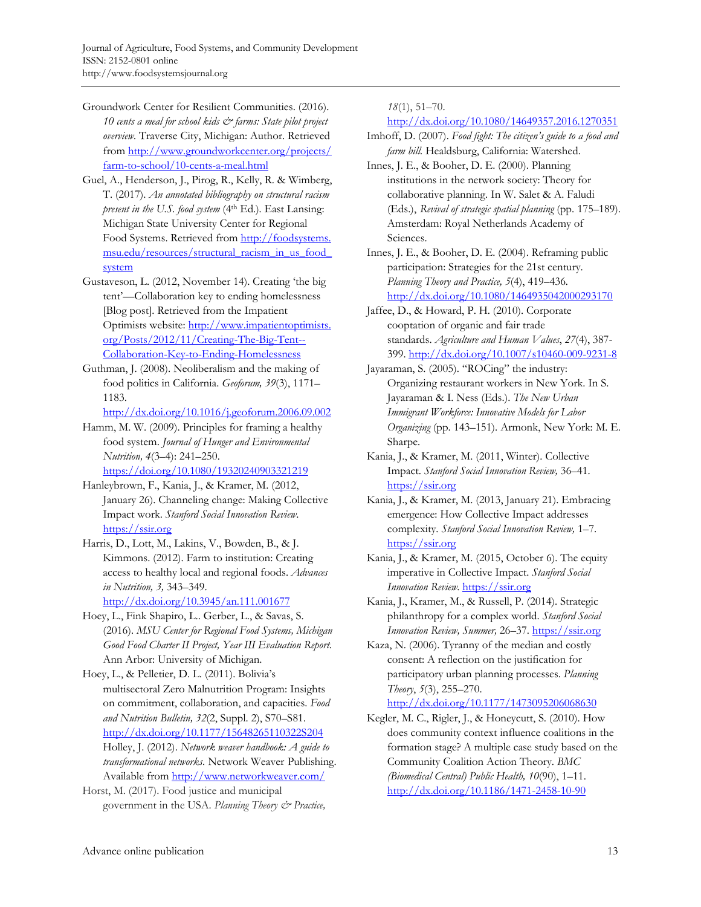- Groundwork Center for Resilient Communities. (2016). *10 cents a meal for school kids & farms: State pilot project overview.* Traverse City, Michigan: Author. Retrieved [from http://www.groundworkcenter.org/projects/](http://www.groundworkcenter.org/projects/farm-to-school/10-cents-a-meal.html)  farm-to-school/10-cents-a-meal.html
- Guel, A., Henderson, J., Pirog, R., Kelly, R. & Wimberg, T. (2017). *An annotated bibliography on structural racism present in the U.S. food system* (4<sup>th</sup> Ed.). East Lansing: Michigan State University Center for Regional Food Systems. Retrieved from http://foodsystems. [msu.edu/resources/structural\\_racism\\_in\\_us\\_food\\_](http://foodsystems.msu.edu/resources/structural_racism_in_us_food_system) system
- Gustaveson, L. (2012, November 14). Creating 'the big tent'—Collaboration key to ending homelessness [Blog post]. Retrieved from the Impatient [Optimists website: http://www.impatientoptimists.](http://www.impatientoptimists.org/Posts/2012/11/Creating-The-Big-Tent--Collaboration-Key-to-Ending-Homelessness) org/Posts/2012/11/Creating-The-Big-Tent-- Collaboration-Key-to-Ending-Homelessness
- Guthman, J. (2008). Neoliberalism and the making of food politics in California. *Geoforum, 39*(3), 1171– 1183.

http://dx.doi.org/10.1016/j.geoforum.2006.09.002

Hamm, M. W. (2009). Principles for framing a healthy food system. *Journal of Hunger and Environmental Nutrition, 4*(3–4): 241–250. https://doi.org/10.1080/19320240903321219

- Hanleybrown, F., Kania, J., & Kramer, M. (2012, January 26). Channeling change: Making Collective Impact work. *Stanford Social Innovation Review*. https://ssir.org
- Harris, D., Lott, M., Lakins, V., Bowden, B., & J. Kimmons. (2012). Farm to institution: Creating access to healthy local and regional foods. *Advances in Nutrition, 3,* 343–349. http://dx.doi.org/10.3945/an.111.001677
- Hoey, L., Fink Shapiro, L.. Gerber, L., & Savas, S. (2016). *MSU Center for Regional Food Systems, Michigan Good Food Charter II Project, Year III Evaluation Report*. Ann Arbor: University of Michigan.

Hoey, L., & Pelletier, D. L. (2011). Bolivia's multisectoral Zero Malnutrition Program: Insights on commitment, collaboration, and capacities. *Food and Nutrition Bulletin, 32*(2, Suppl. 2), S70–S81. http://dx.doi.org/10.1177/15648265110322S204 Holley, J. (2012). *Network weaver handbook: A guide to transformational networks*. Network Weaver Publishing. Available from http://www.networkweaver.com/

Horst, M. (2017). Food justice and municipal government in the USA. *Planning Theory & Practice,*  *18*(1), 51–70.

http://dx.doi.org/10.1080/14649357.2016.1270351

- Imhoff, D. (2007). *Food fight: The citizen's guide to a food and farm bill.* Healdsburg, California: Watershed.
- Innes, J. E., & Booher, D. E. (2000). Planning institutions in the network society: Theory for collaborative planning. In W. Salet & A. Faludi (Eds.), *Revival of strategic spatial planning* (pp. 175–189). Amsterdam: Royal Netherlands Academy of Sciences.
- Innes, J. E., & Booher, D. E. (2004). Reframing public participation: Strategies for the 21st century. *Planning Theory and Practice, 5*(4), 419–436*.*  http://dx.doi.org/10.1080/1464935042000293170
- Jaffee, D., & Howard, P. H. (2010). Corporate cooptation of organic and fair trade standards. *Agriculture and Human Values*, *27*(4), 387- 399. http://dx.doi.org/10.1007/s10460-009-9231-8
- Jayaraman, S. (2005). "ROCing" the industry: Organizing restaurant workers in New York. In S. Jayaraman & I. Ness (Eds.). *The New Urban Immigrant Workforce: Innovative Models for Labor Organizing* (pp. 143–151). Armonk, New York: M. E. Sharpe.
- Kania, J., & Kramer, M. (2011, Winter). Collective Impact. *Stanford Social Innovation Review,* 36–41. https://ssir.org
- Kania, J., & Kramer, M. (2013, January 21). Embracing emergence: How Collective Impact addresses complexity. *Stanford Social Innovation Review,* 1–7. https://ssir.org
- Kania, J., & Kramer, M. (2015, October 6). The equity imperative in Collective Impact. *Stanford Social Innovation Review*. https://ssir.org
- Kania, J., Kramer, M., & Russell, P. (2014). Strategic philanthropy for a complex world. *Stanford Social Innovation Review, Summer,* 26–37. https://ssir.org
- Kaza, N. (2006). Tyranny of the median and costly consent: A reflection on the justification for participatory urban planning processes. *Planning Theory*, *5*(3), 255–270.

http://dx.doi.org/10.1177/1473095206068630

Kegler, M. C., Rigler, J., & Honeycutt, S. (2010). How does community context influence coalitions in the formation stage? A multiple case study based on the Community Coalition Action Theory. *BMC (Biomedical Central) Public Health, 10*(90), 1–11. http://dx.doi.org/10.1186/1471-2458-10-90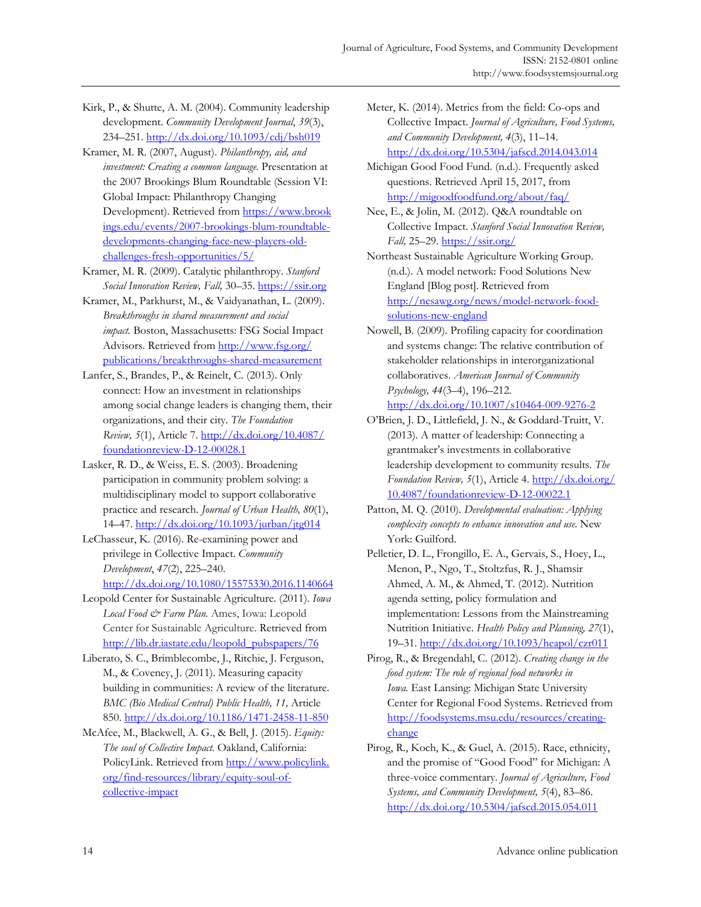Kirk, P., & Shutte, A. M. (2004). Community leadership development. *Community Development Journal*, *39*(3), 234–251. http://dx.doi.org/10.1093/cdj/bsh019

Kramer, M. R. (2007, August). *Philanthropy, aid, and investment: Creating a common language.* Presentation at the 2007 Brookings Blum Roundtable (Session VI: Global Impact: Philanthropy Changing Development). Retrieved from https://www.brook [ings.edu/events/2007-brookings-blum-roundtable](https://www.brookings.edu/events/2007-brookings-blum-roundtable-developments-changing-face-new-players-old-challenges-fresh-opportunities/5/)developments-changing-face-new-players-oldchallenges-fresh-opportunities/5/

Kramer, M. R. (2009). Catalytic philanthropy. *Stanford Social Innovation Review, Fall,* 30–35. https://ssir.org

- Kramer, M., Parkhurst, M., & Vaidyanathan, L. (2009). *Breakthroughs in shared measurement and social impact.* Boston, Massachusetts: FSG Social Impact Advisors. Retrieved from http://www.fsg.org/ [publications/breakthroughs-shared-measurement](http://www.fsg.org/publications/breakthroughs-shared-measurement)
- Lanfer, S., Brandes, P., & Reinelt, C. (2013). Only connect: How an investment in relationships among social change leaders is changing them, their organizations, and their city. *The Foundation Review, 5*[\(1\), Article 7. http://dx.doi.org/10.4087/](http://dx.doi.org/10.4087/foundationreview-D-12-00028.1) foundationreview-D-12-00028.1
- Lasker, R. D., & Weiss, E. S. (2003). Broadening participation in community problem solving: a multidisciplinary model to support collaborative practice and research. *Journal of Urban Health, 80*(1), 14–47. http://dx.doi.org/10.1093/jurban/jtg014
- LeChasseur, K. (2016). Re-examining power and privilege in Collective Impact. *Community Development*, *47*(2), 225–240.

http://dx.doi.org/10.1080/15575330.2016.1140664

- Leopold Center for Sustainable Agriculture. (2011). *Iowa Local Food & Farm Plan.* Ames, Iowa: Leopold Center for Sustainable Agriculture. Retrieved from http://lib.dr.iastate.edu/leopold\_pubspapers/76
- Liberato, S. C., Brimblecombe, J., Ritchie, J. Ferguson, M., & Coveney, J. (2011). Measuring capacity building in communities: A review of the literature. *BMC (Bio Medical Central) Public Health, 11,* Article 850. http://dx.doi.org/10.1186/1471-2458-11-850
- McAfee, M., Blackwell, A. G., & Bell, J. (2015). *Equity: The soul of Collective Impact.* Oakland, California: [PolicyLink. Retrieved from http://www.policylink.](http://www.policylink.org/find-resources/library/equity-soul-of-collective-impact)  org/find-resources/library/equity-soul-ofcollective-impact
- Meter, K. (2014). Metrics from the field: Co-ops and Collective Impact. *Journal of Agriculture, Food Systems, and Community Development, 4*(3), 11–14. http://dx.doi.org/10.5304/jafscd.2014.043.014
- Michigan Good Food Fund. (n.d.). Frequently asked questions. Retrieved April 15, 2017, from http://migoodfoodfund.org/about/faq/

Nee, E., & Jolin, M. (2012). Q&A roundtable on Collective Impact. *Stanford Social Innovation Review, Fall,* 25–29. https://ssir.org/

Northeast Sustainable Agriculture Working Group. (n.d.). A model network: Food Solutions New England [Blog post]. Retrieved from http://nesawg.org/news/model-network-foodsolutions-new-england

Nowell, B. (2009). Profiling capacity for coordination and systems change: The relative contribution of stakeholder relationships in interorganizational collaboratives. *American Journal of Community Psychology, 44*(3–4), 196–212.

http://dx.doi.org/10.1007/s10464-009-9276-2

- O'Brien, J. D., Littlefield, J. N., & Goddard-Truitt, V. (2013). A matter of leadership: Connecting a grantmaker's investments in collaborative leadership development to community results. *The Foundation Review, 5*(1), Article 4. http://dx.doi.org/ [10.4087/foundationreview-D-12-00022.1](http://dx.doi.org/10.4087/foundationreview-D-12-00022.1)
- Patton, M. Q. (2010). *Developmental evaluation: Applying complexity concepts to enhance innovation and use.* New York: Guilford.
- Pelletier, D. L., Frongillo, E. A., Gervais, S., Hoey, L., Menon, P., Ngo, T., Stoltzfus, R. J., Shamsir Ahmed, A. M., & Ahmed, T. (2012). Nutrition agenda setting, policy formulation and implementation: Lessons from the Mainstreaming Nutrition Initiative. *Health Policy and Planning, 27*(1), 19–31. http://dx.doi.org/10.1093/heapol/czr011
- Pirog, R., & Bregendahl, C. (2012). *Creating change in the food system: The role of regional food networks in Iowa.* East Lansing: Michigan State University Center for Regional Food Systems. Retrieved from [http://foodsystems.msu.edu/resources/creating](http://foodsystems.msu.edu/resources/creating-change)change
- Pirog, R., Koch, K., & Guel, A. (2015). Race, ethnicity, and the promise of "Good Food" for Michigan: A three-voice commentary. *Journal of Agriculture, Food Systems, and Community Development, 5*(4), 83–86. http://dx.doi.org/10.5304/jafscd.2015.054.011